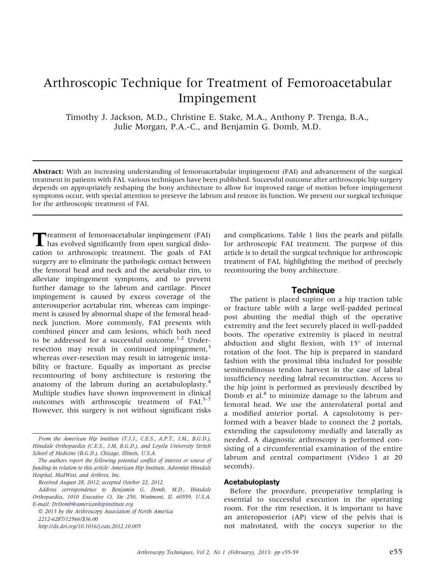# Arthroscopic Technique for Treatment of Femoroacetabular Impingement

Timothy J. Jackson, M.D., Christine E. Stake, M.A., Anthony P. Trenga, B.A., Julie Morgan, P.A.-C., and Benjamin G. Domb, M.D.

Abstract: With an increasing understanding of femoroacetabular impingement (FAI) and advancement of the surgical treatment in patients with FAI, various techniques have been published. Successful outcome after arthroscopic hip surgery depends on appropriately reshaping the bony architecture to allow for improved range of motion before impingement symptoms occur, with special attention to preserve the labrum and restore its function. We present our surgical technique for the arthroscopic treatment of FAI.

Treatment of femoroacetabular impingement (FAI)<br>has evolved significantly from open surgical dislocation to arthroscopic treatment. The goals of FAI<br>surgery are to eliminate the pathologic contact between has evolved significantly from open surgical dislocation to arthroscopic treatment. The goals of FAI surgery are to eliminate the pathologic contact between the femoral head and neck and the acetabular rim, to alleviate impingement symptoms, and to prevent further damage to the labrum and cartilage. Pincer impingement is caused by excess coverage of the anterosuperior acetabular rim, whereas cam impingement is caused by abnormal shape of the femoral headneck junction. More commonly, FAI presents with combined pincer and cam lesions, which both need to be addressed for a successful outcome.<sup>[1,2](#page-4-0)</sup> Underresection may result in continued impingement, $3$ whereas over-resection may result in iatrogenic instability or fracture. Equally as important as precise recontouring of bony architecture is restoring the anatomy of the labrum during an acetabuloplasty.<sup>[4](#page-4-0)</sup> Multiple studies have shown improvement in clinical outcomes with arthroscopic treatment of FAI.<sup>[5-7](#page-4-0)</sup> However, this surgery is not without significant risks

 2013 by the Arthroscopy Association of North America 2212-6287/12566/\$36.00 <http://dx.doi.org/10.1016/j.eats.2012.10.005>

and complications. [Table 1](#page-1-0) lists the pearls and pitfalls for arthroscopic FAI treatment. The purpose of this article is to detail the surgical technique for arthroscopic treatment of FAI, highlighting the method of precisely recontouring the bony architecture.

### **Technique**

The patient is placed supine on a hip traction table or fracture table with a large well-padded perineal post abutting the medial thigh of the operative extremity and the feet securely placed in well-padded boots. The operative extremity is placed in neutral abduction and slight flexion, with  $15^{\circ}$  of internal rotation of the foot. The hip is prepared in standard fashion with the proximal tibia included for possible semitendinosus tendon harvest in the case of labral insufficiency needing labral reconstruction. Access to the hip joint is performed as previously described by Domb et al. $8$  to minimize damage to the labrum and femoral head. We use the anterolateral portal and a modified anterior portal. A capsulotomy is performed with a beaver blade to connect the 2 portals, extending the capsulotomy medially and laterally as needed. A diagnostic arthroscopy is performed consisting of a circumferential examination of the entire labrum and central compartment (Video 1 at 20 seconds).

#### Acetabuloplasty

Before the procedure, preoperative templating is essential to successful execution in the operating room. For the rim resection, it is important to have an anteroposterior (AP) view of the pelvis that is not malrotated, with the coccyx superior to the

From the American Hip Institute (T.J.J., C.E.S., A.P.T., J.M., B.G.D.), Hinsdale Orthopaedics (C.E.S., J.M, B.G.D.), and Loyola University Stritch School of Medicine (B.G.D.), Chicago, Illinois, U.S.A.

The authors report the following potential conflict of interest or source of funding in relation to this article: American Hip Institute, Adventist Hinsdale Hospital, MedWest, and Arthrex, Inc.

Received August 28, 2012; accepted October 22, 2012.

Address correspondence to Benjamin G. Domb, M.D., Hinsdale Orthopaedics, 1010 Executive Ct, Ste 250, Westmont, IL 60559, U.S.A. E-mail: [DrDomb@americanhipinstitute.org](mailto:DrDomb@americanhipinstitute.org)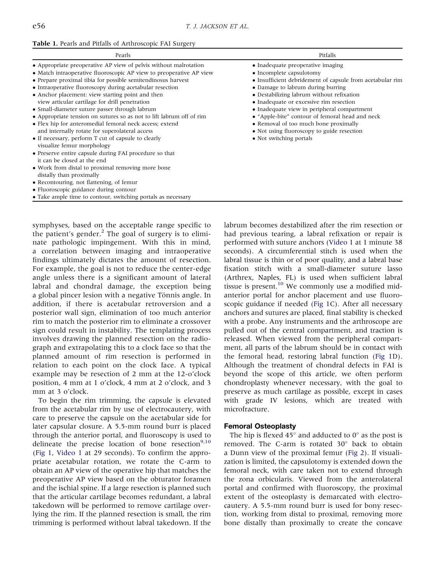## <span id="page-1-0"></span>Table 1. Pearls and Pitfalls of Arthroscopic FAI Surgery

| Pearls                                                                                                                                                                                                                                                                                                                                                                                                                                                                                                                                                                                                                                                                                                                                                                                                                                                                                                                                                               | Pitfalls                                                                                                                                                                                                                                                                                                                                                                                                                                                                    |
|----------------------------------------------------------------------------------------------------------------------------------------------------------------------------------------------------------------------------------------------------------------------------------------------------------------------------------------------------------------------------------------------------------------------------------------------------------------------------------------------------------------------------------------------------------------------------------------------------------------------------------------------------------------------------------------------------------------------------------------------------------------------------------------------------------------------------------------------------------------------------------------------------------------------------------------------------------------------|-----------------------------------------------------------------------------------------------------------------------------------------------------------------------------------------------------------------------------------------------------------------------------------------------------------------------------------------------------------------------------------------------------------------------------------------------------------------------------|
| • Appropriate preoperative AP view of pelvis without malrotation<br>• Match intraoperative fluoroscopic AP view to preoperative AP view<br>• Prepare proximal tibia for possible semitendinosus harvest<br>• Intraoperative fluoroscopy during acetabular resection<br>• Anchor placement: view starting point and then<br>view articular cartilage for drill penetration<br>• Small-diameter suture passer through labrum<br>• Appropriate tension on sutures so as not to lift labrum off of rim<br>• Flex hip for anteromedial femoral neck access; extend<br>and internally rotate for superolateral access<br>• If necessary, perform T cut of capsule to clearly<br>visualize femur morphology<br>• Preserve entire capsule during FAI procedure so that<br>it can be closed at the end<br>• Work from distal to proximal removing more bone<br>distally than proximally<br>• Recontouring, not flattening, of femur<br>• Fluoroscopic guidance during contour | • Inadequate preoperative imaging<br>• Incomplete capsulotomy<br>• Insufficient debridement of capsule from acetabular rim<br>• Damage to labrum during burring<br>• Destabilizing labrum without refixation<br>• Inadequate or excessive rim resection<br>• Inadequate view in peripheral compartment<br>• "Apple-bite" contour of femoral head and neck<br>• Removal of too much bone proximally<br>• Not using fluoroscopy to guide resection<br>• Not switching portals |
|                                                                                                                                                                                                                                                                                                                                                                                                                                                                                                                                                                                                                                                                                                                                                                                                                                                                                                                                                                      |                                                                                                                                                                                                                                                                                                                                                                                                                                                                             |

Take ample time to contour, switching portals as necessary

symphyses, based on the acceptable range specific to the patient's gender. $^2$  $^2$  The goal of surgery is to eliminate pathologic impingement. With this in mind, a correlation between imaging and intraoperative findings ultimately dictates the amount of resection. For example, the goal is not to reduce the center-edge angle unless there is a significant amount of lateral labral and chondral damage, the exception being a global pincer lesion with a negative Tönnis angle. In addition, if there is acetabular retroversion and a posterior wall sign, elimination of too much anterior rim to match the posterior rim to eliminate a crossover sign could result in instability. The templating process involves drawing the planned resection on the radiograph and extrapolating this to a clock face so that the planned amount of rim resection is performed in relation to each point on the clock face. A typical example may be resection of 2 mm at the 12-o'clock position, 4 mm at 1 o'clock, 4 mm at 2 o'clock, and 3 mm at 3 o'clock.

To begin the rim trimming, the capsule is elevated from the acetabular rim by use of electrocautery, with care to preserve the capsule on the acetabular side for later capsular closure. A 5.5-mm round burr is placed through the anterior portal, and fluoroscopy is used to delineate the precise location of bone resection $9,10$ [\(Fig 1,](#page-2-0) Video 1 at 29 seconds). To confirm the appropriate acetabular rotation, we rotate the C-arm to obtain an AP view of the operative hip that matches the preoperative AP view based on the obturator foramen and the ischial spine. If a large resection is planned such that the articular cartilage becomes redundant, a labral takedown will be performed to remove cartilage overlying the rim. If the planned resection is small, the rim trimming is performed without labral takedown. If the labrum becomes destabilized after the rim resection or had previous tearing, a labral refixation or repair is performed with suture anchors (Video 1 at 1 minute 38 seconds). A circumferential stitch is used when the labral tissue is thin or of poor quality, and a labral base fixation stitch with a small-diameter suture lasso (Arthrex, Naples, FL) is used when sufficient labral tissue is present. $10$  We commonly use a modified midanterior portal for anchor placement and use fluoroscopic guidance if needed [\(Fig 1C](#page-2-0)). After all necessary anchors and sutures are placed, final stability is checked with a probe. Any instruments and the arthroscope are pulled out of the central compartment, and traction is released. When viewed from the peripheral compartment, all parts of the labrum should be in contact with the femoral head, restoring labral function [\(Fig 1D](#page-2-0)). Although the treatment of chondral defects in FAI is beyond the scope of this article, we often perform chondroplasty whenever necessary, with the goal to preserve as much cartilage as possible, except in cases with grade IV lesions, which are treated with microfracture.

#### Femoral Osteoplasty

The hip is flexed 45 $^{\circ}$  and adducted to 0 $^{\circ}$  as the post is removed. The C-arm is rotated  $30^\circ$  back to obtain a Dunn view of the proximal femur [\(Fig 2](#page-3-0)). If visualization is limited, the capsulotomy is extended down the femoral neck, with care taken not to extend through the zona orbicularis. Viewed from the anterolateral portal and confirmed with fluoroscopy, the proximal extent of the osteoplasty is demarcated with electrocautery. A 5.5-mm round burr is used for bony resection, working from distal to proximal, removing more bone distally than proximally to create the concave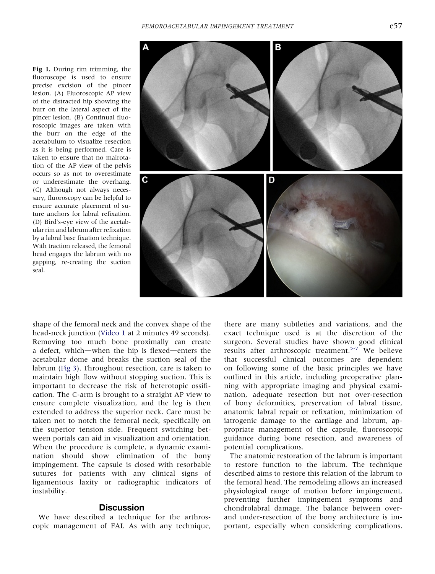<span id="page-2-0"></span>Fig 1. During rim trimming, the fluoroscope is used to ensure precise excision of the pincer lesion. (A) Fluoroscopic AP view of the distracted hip showing the burr on the lateral aspect of the pincer lesion. (B) Continual fluoroscopic images are taken with the burr on the edge of the acetabulum to visualize resection as it is being performed. Care is taken to ensure that no malrotation of the AP view of the pelvis occurs so as not to overestimate or underestimate the overhang. (C) Although not always necessary, fluoroscopy can be helpful to ensure accurate placement of suture anchors for labral refixation. (D) Bird's-eye view of the acetabular rim and labrum after refixation by a labral base fixation technique. With traction released, the femoral head engages the labrum with no gapping, re-creating the suction seal.



shape of the femoral neck and the convex shape of the head-neck junction (Video 1 at 2 minutes 49 seconds). Removing too much bone proximally can create a defect, which—when the hip is flexed—enters the acetabular dome and breaks the suction seal of the labrum ([Fig 3\)](#page-3-0). Throughout resection, care is taken to maintain high flow without stopping suction. This is important to decrease the risk of heterotopic ossification. The C-arm is brought to a straight AP view to ensure complete visualization, and the leg is then extended to address the superior neck. Care must be taken not to notch the femoral neck, specifically on the superior tension side. Frequent switching between portals can aid in visualization and orientation. When the procedure is complete, a dynamic examination should show elimination of the bony impingement. The capsule is closed with resorbable sutures for patients with any clinical signs of ligamentous laxity or radiographic indicators of instability.

# **Discussion**

We have described a technique for the arthroscopic management of FAI. As with any technique,

there are many subtleties and variations, and the exact technique used is at the discretion of the surgeon. Several studies have shown good clinical results after arthroscopic treatment.<sup>[5-7](#page-4-0)</sup> We believe that successful clinical outcomes are dependent on following some of the basic principles we have outlined in this article, including preoperative planning with appropriate imaging and physical examination, adequate resection but not over-resection of bony deformities, preservation of labral tissue, anatomic labral repair or refixation, minimization of iatrogenic damage to the cartilage and labrum, appropriate management of the capsule, fluoroscopic guidance during bone resection, and awareness of potential complications.

The anatomic restoration of the labrum is important to restore function to the labrum. The technique described aims to restore this relation of the labrum to the femoral head. The remodeling allows an increased physiological range of motion before impingement, preventing further impingement symptoms and chondrolabral damage. The balance between overand under-resection of the bony architecture is important, especially when considering complications.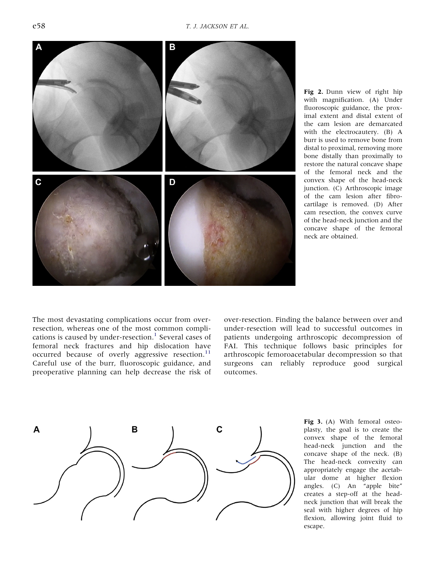<span id="page-3-0"></span>

Fig 2. Dunn view of right hip with magnification. (A) Under fluoroscopic guidance, the proximal extent and distal extent of the cam lesion are demarcated with the electrocautery. (B) A burr is used to remove bone from distal to proximal, removing more bone distally than proximally to restore the natural concave shape of the femoral neck and the convex shape of the head-neck junction. (C) Arthroscopic image of the cam lesion after fibrocartilage is removed. (D) After cam resection, the convex curve of the head-neck junction and the concave shape of the femoral neck are obtained.

The most devastating complications occur from overresection, whereas one of the most common complications is caused by under-resection. $<sup>1</sup>$  $<sup>1</sup>$  $<sup>1</sup>$  Several cases of</sup> femoral neck fractures and hip dislocation have occurred because of overly aggressive resection.<sup>[11](#page-4-0)</sup> Careful use of the burr, fluoroscopic guidance, and preoperative planning can help decrease the risk of over-resection. Finding the balance between over and under-resection will lead to successful outcomes in patients undergoing arthroscopic decompression of FAI. This technique follows basic principles for arthroscopic femoroacetabular decompression so that surgeons can reliably reproduce good surgical outcomes.



Fig 3. (A) With femoral osteoplasty, the goal is to create the convex shape of the femoral head-neck junction and the concave shape of the neck. (B) The head-neck convexity can appropriately engage the acetabular dome at higher flexion angles. (C) An "apple bite" creates a step-off at the headneck junction that will break the seal with higher degrees of hip flexion, allowing joint fluid to escape.